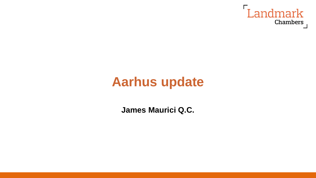

# **Aarhus update**

**James Maurici Q.C.**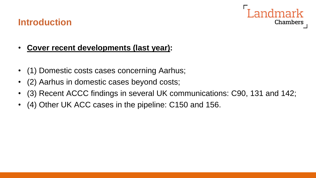

### **Introduction**

#### • **Cover recent developments (last year):**

- (1) Domestic costs cases concerning Aarhus;
- (2) Aarhus in domestic cases beyond costs;
- (3) Recent ACCC findings in several UK communications: C90, 131 and 142;
- (4) Other UK ACC cases in the pipeline: C150 and 156.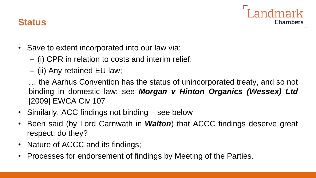

### **Status**

- Save to extent incorporated into our law via:
	- (i) CPR in relation to costs and interim relief;
	- (ii) Any retained EU law;

… the Aarhus Convention has the status of unincorporated treaty, and so not binding in domestic law: see *Morgan v Hinton Organics (Wessex) Ltd* [2009] EWCA Civ 107

- Similarly, ACC findings not binding see below
- Been said (by Lord Carnwath in *Walton*) that ACCC findings deserve great respect; do they?
- Nature of ACCC and its findings;
- Processes for endorsement of findings by Meeting of the Parties.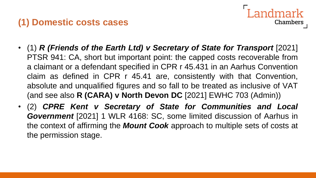# **(1) Domestic costs cases**

- **Chambers**
- (1) *R (Friends of the Earth Ltd) v Secretary of State for Transport* [2021] PTSR 941: CA, short but important point: the capped costs recoverable from a claimant or a defendant specified in CPR r 45.431 in an Aarhus Convention claim as defined in CPR r 45.41 are, consistently with that Convention, absolute and unqualified figures and so fall to be treated as inclusive of VAT (and see also **R (CARA) v North Devon DC** [2021] EWHC 703 (Admin))
- (2) *CPRE Kent v Secretary of State for Communities and Local Government* [2021] 1 WLR 4168: SC, some limited discussion of Aarhus in the context of affirming the *Mount Cook* approach to multiple sets of costs at the permission stage.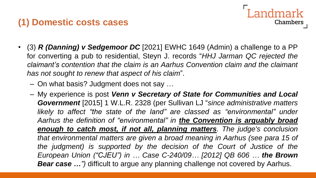# **(1) Domestic costs cases**

• (3) *R (Danning) v Sedgemoor DC* [2021] EWHC 1649 (Admin) a challenge to a PP for converting a pub to residential, Steyn J. records "*HHJ Jarman QC rejected the claimant's contention that the claim is an Aarhus Convention claim and the claimant has not sought to renew that aspect of his claim*".

Landmark

**Chambers** 

- On what basis? Judgment does not say …
- My experience is post *Venn v Secretary of State for Communities and Local Government* [2015] 1 W.L.R. 2328 (per Sullivan LJ "*since administrative matters likely to affect "the state of the land" are classed as "environmental" under Aarhus the definition of "environmental" in the Convention is arguably broad enough to catch most, if not all, planning matters. The judge's conclusion that environmental matters are given a broad meaning in Aarhus (see para 15 of the judgment) is supported by the decision of the Court of Justice of the European Union ("CJEU") in … Case C-240/09… [2012] QB 606 … the Brown Bear case …")* difficult to argue any planning challenge not covered by Aarhus.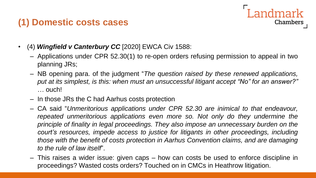# **(1) Domestic costs cases**



- (4) *Wingfield v Canterbury CC* [2020] EWCA Civ 1588:
	- Applications under CPR 52.30(1) to re-open orders refusing permission to appeal in two planning JRs;
	- NB opening para. of the judgment "*The question raised by these renewed applications, put at its simplest, is this: when must an unsuccessful litigant accept "No" for an answer?"* … ouch!
	- In those JRs the C had Aarhus costs protection
	- CA said "*Unmeritorious applications under CPR 52.30 are inimical to that endeavour, repeated unmeritorious applications even more so. Not only do they undermine the principle of finality in legal proceedings. They also impose an unnecessary burden on the court's resources, impede access to justice for litigants in other proceedings, including those with the benefit of costs protection in Aarhus Convention claims, and are damaging to the rule of law itself*".
	- This raises a wider issue: given caps how can costs be used to enforce discipline in proceedings? Wasted costs orders? Touched on in CMCs in Heathrow litigation.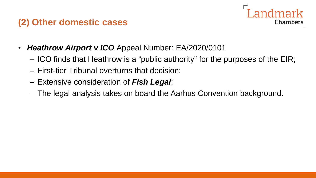## **(2) Other domestic cases**

Chambers

- *Heathrow Airport v ICO* Appeal Number: EA/2020/0101
	- ICO finds that Heathrow is a "public authority" for the purposes of the EIR;
	- First-tier Tribunal overturns that decision;
	- Extensive consideration of *Fish Legal*;
	- The legal analysis takes on board the Aarhus Convention background.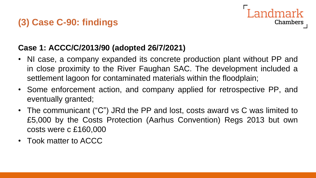# **(3) Case C-90: findings**



#### **Case 1: ACCC/C/2013/90 (adopted 26/7/2021)**

- NI case, a company expanded its concrete production plant without PP and in close proximity to the River Faughan SAC. The development included a settlement lagoon for contaminated materials within the floodplain;
- Some enforcement action, and company applied for retrospective PP, and eventually granted;
- The communicant ("C") JRd the PP and lost, costs award vs C was limited to £5,000 by the Costs Protection (Aarhus Convention) Regs 2013 but own costs were c £160,000
- Took matter to ACCC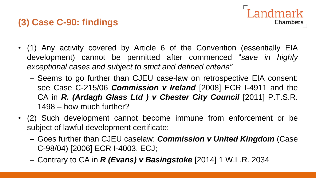# **(3) Case C-90: findings**

- Landmark Chambers
- (1) Any activity covered by Article 6 of the Convention (essentially EIA development) cannot be permitted after commenced "*save in highly exceptional cases and subject to strict and defined criteria"*
	- Seems to go further than CJEU case-law on retrospective EIA consent: see Case C-215/06 *Commission v Ireland* [2008] ECR I-4911 and the CA in *R. (Ardagh Glass Ltd ) v Chester City Council* [2011] P.T.S.R. 1498 – how much further?
- (2) Such development cannot become immune from enforcement or be subject of lawful development certificate:
	- Goes further than CJEU caselaw: *Commission v United Kingdom* (Case C-98/04) [2006] ECR I-4003, ECJ;
	- Contrary to CA in *R (Evans) v Basingstoke* [2014] 1 W.L.R. 2034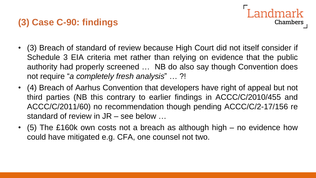# **(3) Case C-90: findings**



- (3) Breach of standard of review because High Court did not itself consider if Schedule 3 EIA criteria met rather than relying on evidence that the public authority had properly screened … NB do also say though Convention does not require "*a completely fresh analysis*" … ?!
- (4) Breach of Aarhus Convention that developers have right of appeal but not third parties (NB this contrary to earlier findings in ACCC/C/2010/455 and ACCC/C/2011/60) no recommendation though pending ACCC/C/2-17/156 re standard of review in JR – see below …
- (5) The £160k own costs not a breach as although high no evidence how could have mitigated e.g. CFA, one counsel not two.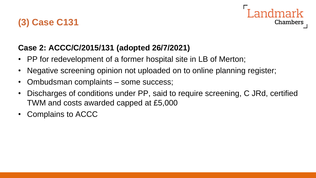# **(3) Case C131**



### **Case 2: ACCC/C/2015/131 (adopted 26/7/2021)**

- PP for redevelopment of a former hospital site in LB of Merton;
- Negative screening opinion not uploaded on to online planning register;
- Ombudsman complaints some success;
- Discharges of conditions under PP, said to require screening, C JRd, certified TWM and costs awarded capped at £5,000
- Complains to ACCC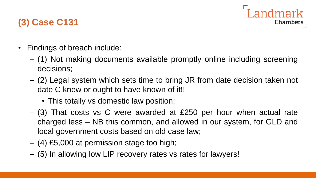

# **(3) Case C131**

- Findings of breach include:
	- (1) Not making documents available promptly online including screening decisions;
	- (2) Legal system which sets time to bring JR from date decision taken not date C knew or ought to have known of it!!
		- This totally vs domestic law position;
	- (3) That costs vs C were awarded at £250 per hour when actual rate charged less – NB this common, and allowed in our system, for GLD and local government costs based on old case law;
	- (4) £5,000 at permission stage too high;
	- (5) In allowing low LIP recovery rates vs rates for lawyers!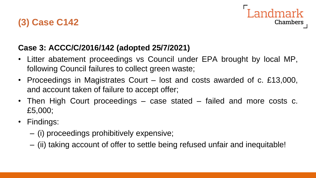# **(3) Case C142**



### **Case 3: ACCC/C/2016/142 (adopted 25/7/2021)**

- Litter abatement proceedings vs Council under EPA brought by local MP, following Council failures to collect green waste;
- Proceedings in Magistrates Court lost and costs awarded of c. £13,000, and account taken of failure to accept offer;
- Then High Court proceedings case stated failed and more costs c. £5,000;
- Findings:
	- (i) proceedings prohibitively expensive;
	- (ii) taking account of offer to settle being refused unfair and inequitable!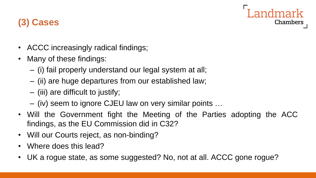

# **(3) Cases**

- ACCC increasingly radical findings;
- Many of these findings:
	- (i) fail properly understand our legal system at all;
	- (ii) are huge departures from our established law;
	- (iii) are difficult to justify;
	- (iv) seem to ignore CJEU law on very similar points …
- Will the Government fight the Meeting of the Parties adopting the ACC findings, as the EU Commission did in C32?
- Will our Courts reject, as non-binding?
- Where does this lead?
- UK a rogue state, as some suggested? No, not at all. ACCC gone rogue?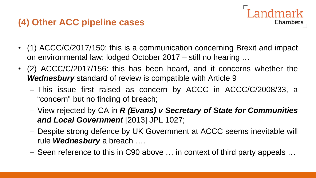# **(4) Other ACC pipeline cases**

• (1) ACCC/C/2017/150: this is a communication concerning Brexit and impact on environmental law; lodged October 2017 – still no hearing …

ndmark

**Chambers** 

- (2) ACCC/C/2017/156: this has been heard, and it concerns whether the *Wednesbury* standard of review is compatible with Article 9
	- This issue first raised as concern by ACCC in ACCC/C/2008/33, a "concern" but no finding of breach;
	- View rejected by CA in *R (Evans) v Secretary of State for Communities and Local Government* [2013] JPL 1027;
	- Despite strong defence by UK Government at ACCC seems inevitable will rule *Wednesbury* a breach ….
	- Seen reference to this in C90 above … in context of third party appeals …